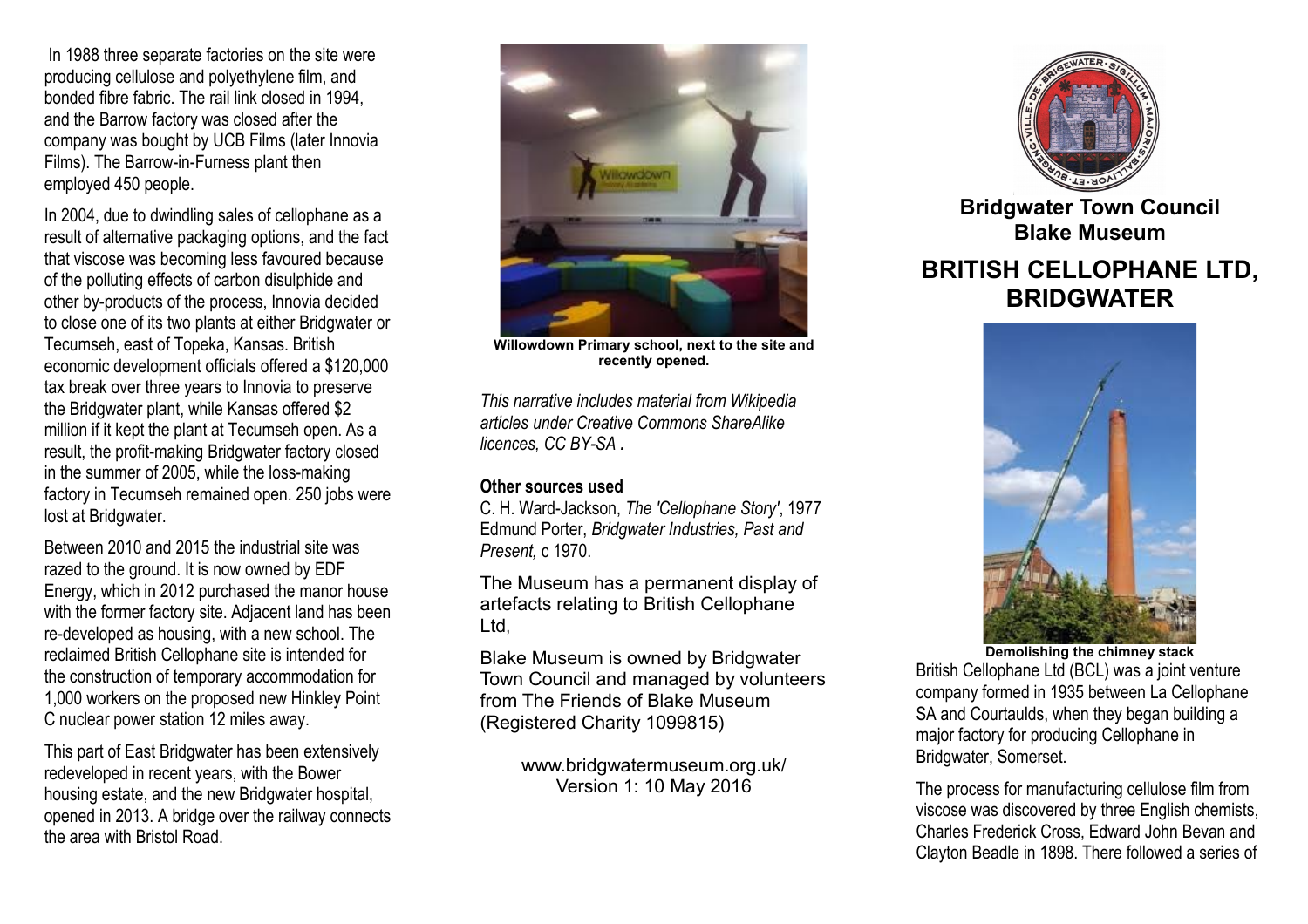In 1988 three separate factories on the site were producing cellulose and polyethylene film, and bonded fibre fabric. The rail link closed in 1994, and the Barrow factory was closed after the company was bought by UCB Films (later Innovia Films). The Barrow-in-Furness plant then employed 450 people.

In 2004, due to dwindling sales of cellophane as a result of alternative packaging options, and the fact that viscose was becoming less favoured because of the polluting effects of carbon disulphide and other by-products of the process, Innovia decided to close one of its two plants at either Bridgwater or Tecumseh, east of Topeka, Kansas. British economic development officials offered a \$120,000 tax break over three years to Innovia to preserve the Bridgwater plant, while Kansas offered \$2 million if it kept the plant at Tecumseh open. As a result, the profit-making Bridgwater factory closed in the summer of 2005, while the loss-making factory in Tecumseh remained open. 250 jobs were lost at Bridgwater.

Between 2010 and 2015 the industrial site was razed to the ground. It is now owned by EDF Energy, which in 2012 purchased the manor house with the former factory site. Adjacent land has been re-developed as housing, with a new school. The reclaimed British Cellophane site is intended for the construction of temporary accommodation for 1,000 workers on the proposed new Hinkley Point C nuclear power station 12 miles away.

This part of East Bridgwater has been extensively redeveloped in recent years, with the Bower housing estate, and the new Bridgwater hospital, opened in 2013. A bridge over the railway connects the area with Bristol Road.



**Willowdown Primary school, next to the site and recently opened.**

*This narrative includes material from Wikipedia articles under Creative Commons ShareAlike licences, CC BY-SA .*

# **Other sources used**

C. H. Ward-Jackson, *The 'Cellophane Story'*, 1977 Edmund Porter, *Bridgwater Industries, Past and Present,* c 1970.

The Museum has a permanent display of artefacts relating to British Cellophane Ltd,

Blake Museum is owned by Bridgwater Town Council and managed by volunteers from The Friends of Blake Museum (Registered Charity 1099815)

> www.bridgwatermuseum.org.uk/ Version 1: 10 May 2016



**Bridgwater Town Council Blake Museum**

# **BRITISH CELLOPHANE LTD, BRIDGWATER**



**Demolishing the chimney stack** British Cellophane Ltd (BCL) was a joint venture company formed in 1935 between La Cellophane SA and Courtaulds, when they began building a major factory for producing Cellophane in Bridgwater, Somerset.

The process for manufacturing cellulose film from viscose was discovered by three English chemists, Charles Frederick Cross, Edward John Bevan and Clayton Beadle in 1898. There followed a series of